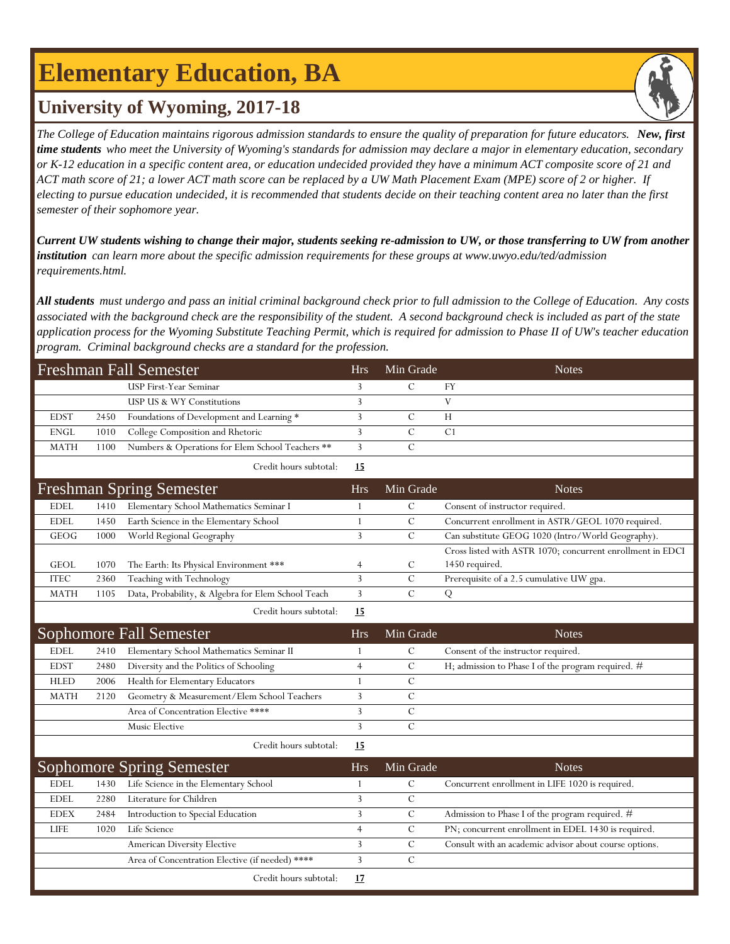# **Elementary Education, BA**



### **University of Wyoming, 2017-18**

*The College of Education maintains rigorous admission standards to ensure the quality of preparation for future educators. New, first time students who meet the University of Wyoming's standards for admission may declare a major in elementary education, secondary or K-12 education in a specific content area, or education undecided provided they have a minimum ACT composite score of 21 and ACT math score of 21; a lower ACT math score can be replaced by a UW Math Placement Exam (MPE) score of 2 or higher. If electing to pursue education undecided, it is recommended that students decide on their teaching content area no later than the first semester of their sophomore year.*

*Current UW students wishing to change their major, students seeking re-admission to UW, or those transferring to UW from another institution can learn more about the specific admission requirements for these groups at www.uwyo.edu/ted/admission requirements.html.* 

*All students must undergo and pass an initial criminal background check prior to full admission to the College of Education. Any costs associated with the background check are the responsibility of the student. A second background check is included as part of the state application process for the Wyoming Substitute Teaching Permit, which is required for admission to Phase II of UW's teacher education program. Criminal background checks are a standard for the profession.*

| <b>Freshman Fall Semester</b> |      |                                                    |                | Min Grade     | <b>Notes</b>                                               |
|-------------------------------|------|----------------------------------------------------|----------------|---------------|------------------------------------------------------------|
|                               |      | USP First-Year Seminar                             | 3              | $\mathcal{C}$ | <b>FY</b>                                                  |
|                               |      | USP US & WY Constitutions                          | 3              |               | $\mathbf{V}$                                               |
| <b>EDST</b>                   | 2450 | Foundations of Development and Learning *          | 3              | $\mathcal{C}$ | H                                                          |
| <b>ENGL</b>                   | 1010 | College Composition and Rhetoric                   | 3              | $\mathcal{C}$ | C1                                                         |
| <b>MATH</b>                   | 1100 | Numbers & Operations for Elem School Teachers **   | 3              | $\mathbf C$   |                                                            |
|                               |      | Credit hours subtotal:                             | 15             |               |                                                            |
|                               |      | <b>Freshman Spring Semester</b>                    | Hrs            | Min Grade     | <b>Notes</b>                                               |
| <b>EDEL</b>                   | 1410 | Elementary School Mathematics Seminar I            | 1              | $\mathcal{C}$ | Consent of instructor required.                            |
| <b>EDEL</b>                   | 1450 | Earth Science in the Elementary School             | 1              | $\mathcal{C}$ | Concurrent enrollment in ASTR/GEOL 1070 required.          |
| GEOG                          | 1000 | World Regional Geography                           | $\overline{3}$ | $\mathcal{C}$ | Can substitute GEOG 1020 (Intro/World Geography).          |
|                               |      |                                                    |                |               | Cross listed with ASTR 1070; concurrent enrollment in EDCI |
| <b>GEOL</b>                   | 1070 | The Earth: Its Physical Environment ***            | $\overline{4}$ | $\mathcal{C}$ | 1450 required.                                             |
| <b>ITEC</b>                   | 2360 | Teaching with Technology                           | 3              | $\mathcal{C}$ | Prerequisite of a 2.5 cumulative UW gpa.                   |
| <b>MATH</b>                   | 1105 | Data, Probability, & Algebra for Elem School Teach | $\overline{3}$ | $\mathcal{C}$ | ${\bf Q}$                                                  |
|                               |      | Credit hours subtotal:                             | 15             |               |                                                            |
|                               |      | <b>Sophomore Fall Semester</b>                     | <b>Hrs</b>     | Min Grade     | <b>Notes</b>                                               |
| <b>EDEL</b>                   | 2410 | Elementary School Mathematics Seminar II           | 1              | $\mathcal{C}$ | Consent of the instructor required.                        |
| <b>EDST</b>                   | 2480 | Diversity and the Politics of Schooling            | $\overline{4}$ | $\mathcal{C}$ | H; admission to Phase I of the program required. #         |
| <b>HLED</b>                   | 2006 | Health for Elementary Educators                    | $\mathbf{1}$   | $\mathsf{C}$  |                                                            |
| <b>MATH</b>                   | 2120 | Geometry & Measurement/Elem School Teachers        | 3              | $\mathcal{C}$ |                                                            |
|                               |      | Area of Concentration Elective ****                | 3              | $\mathcal{C}$ |                                                            |
|                               |      | Music Elective                                     | 3              | $\mathcal{C}$ |                                                            |
|                               |      | Credit hours subtotal:                             | 15             |               |                                                            |
|                               |      | <b>Sophomore Spring Semester</b>                   | <b>Hrs</b>     | Min Grade     | <b>Notes</b>                                               |
| <b>EDEL</b>                   | 1430 | Life Science in the Elementary School              | 1              | $\mathcal{C}$ | Concurrent enrollment in LIFE 1020 is required.            |
| <b>EDEL</b>                   | 2280 | Literature for Children                            | 3              | $\mathcal{C}$ |                                                            |
| <b>EDEX</b>                   | 2484 | Introduction to Special Education                  | 3              | $\mathcal{C}$ | Admission to Phase I of the program required. #            |
| <b>LIFE</b>                   | 1020 | Life Science                                       | $\overline{4}$ | $\mathcal{C}$ | PN; concurrent enrollment in EDEL 1430 is required.        |
|                               |      | American Diversity Elective                        | 3              | $\mathcal{C}$ | Consult with an academic advisor about course options.     |
|                               |      | Area of Concentration Elective (if needed) ****    | 3              | $\mathcal{C}$ |                                                            |
|                               |      | Credit hours subtotal:                             | 17             |               |                                                            |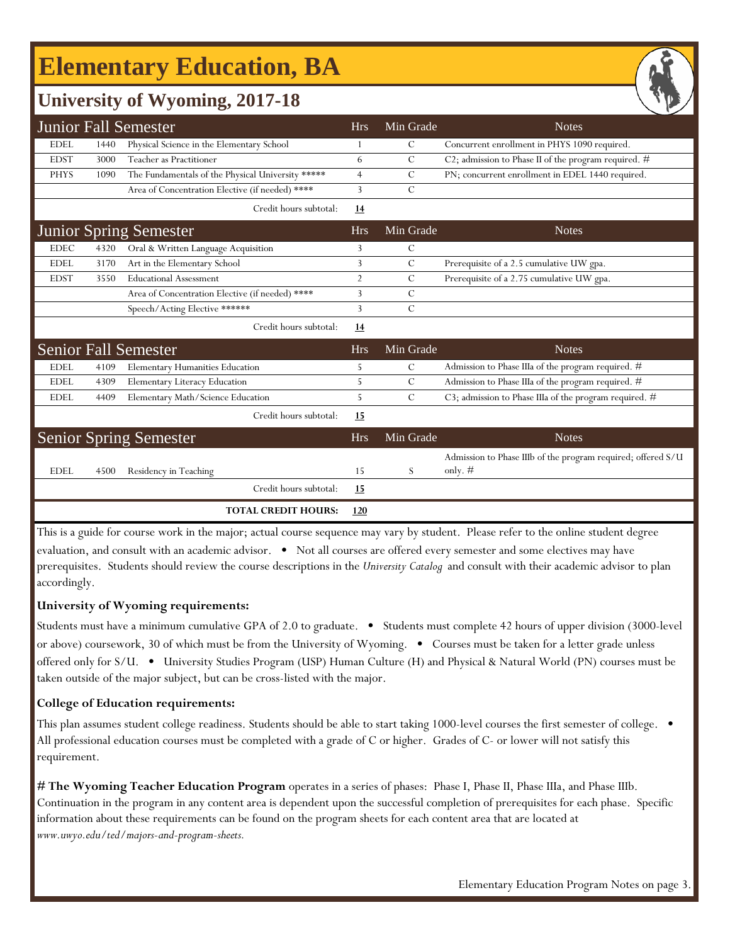# **Elementary Education, BA**



## **University of Wyoming, 2017-18**

|             |                           | <b>Junior Fall Semester</b>                       | <b>Hrs</b>     | Min Grade      | <b>Notes</b>                                                    |
|-------------|---------------------------|---------------------------------------------------|----------------|----------------|-----------------------------------------------------------------|
| <b>EDEL</b> | 1440                      | Physical Science in the Elementary School         | 1              | C              | Concurrent enrollment in PHYS 1090 required.                    |
| <b>EDST</b> | 3000                      | Teacher as Practitioner                           | 6              | C              | C2; admission to Phase II of the program required. #            |
| <b>PHYS</b> | 1090                      | The Fundamentals of the Physical University ***** | $\overline{4}$ | C              | PN; concurrent enrollment in EDEL 1440 required.                |
|             |                           | Area of Concentration Elective (if needed) ****   | $\overline{3}$ | $\overline{C}$ |                                                                 |
|             |                           | Credit hours subtotal:                            | 14             |                |                                                                 |
|             |                           | <b>Junior Spring Semester</b>                     | <b>Hrs</b>     | Min Grade      | <b>Notes</b>                                                    |
| <b>EDEC</b> | 4320                      | Oral & Written Language Acquisition               | 3              | C              |                                                                 |
| <b>EDEL</b> | 3170                      | Art in the Elementary School                      | 3              | $\mathcal{C}$  | Prerequisite of a 2.5 cumulative UW gpa.                        |
| <b>EDST</b> | 3550                      | <b>Educational Assessment</b>                     | $\overline{2}$ | C              | Prerequisite of a 2.75 cumulative UW gpa.                       |
|             |                           | Area of Concentration Elective (if needed) ****   | 3              | C              |                                                                 |
|             |                           | Speech/Acting Elective ******                     | 3              | $\mathcal{C}$  |                                                                 |
|             |                           | Credit hours subtotal:                            | 14             |                |                                                                 |
|             |                           | <b>Senior Fall Semester</b>                       | <b>Hrs</b>     | Min Grade      | <b>Notes</b>                                                    |
| <b>EDEL</b> | 4109                      | Elementary Humanities Education                   | 5              | C              | Admission to Phase IIIa of the program required. #              |
| <b>EDEL</b> | 4309                      | Elementary Literacy Education                     | 5              | $\mathcal{C}$  | Admission to Phase IIIa of the program required. #              |
| <b>EDEL</b> | 4409                      | Elementary Math/Science Education                 | 5              | C              | C3; admission to Phase IIIa of the program required. #          |
|             |                           | Credit hours subtotal:                            | 15             |                |                                                                 |
|             |                           | <b>Senior Spring Semester</b>                     | <b>Hrs</b>     | Min Grade      | <b>Notes</b>                                                    |
|             |                           |                                                   |                |                | Admission to Phase IIIb of the program required; offered S/U    |
| <b>EDEL</b> | 4500                      | Residency in Teaching                             | 15             | S              | only. $#$                                                       |
|             |                           | Credit hours subtotal:                            | <u>15</u>      |                |                                                                 |
|             |                           | <b>TOTAL CREDIT HOURS:</b>                        | <b>120</b>     |                |                                                                 |
| TI          | $\cdot$ 1 $\cdot$ $\cdot$ | $1 + 1$                                           |                |                | $\sqrt{1}$ $\sqrt{1}$<br>$0 \leq x \leq 1$ 1. $1 \leq x \leq 1$ |

This is a guide for course work in the major; actual course sequence may vary by student. Please refer to the online student degree evaluation, and consult with an academic advisor. • Not all courses are offered every semester and some electives may have prerequisites. Students should review the course descriptions in the *University Catalog* and consult with their academic advisor to plan accordingly.

#### **University of Wyoming requirements:**

Students must have a minimum cumulative GPA of 2.0 to graduate. • Students must complete 42 hours of upper division (3000-level or above) coursework, 30 of which must be from the University of Wyoming. • Courses must be taken for a letter grade unless offered only for S/U. • University Studies Program (USP) Human Culture (H) and Physical & Natural World (PN) courses must be taken outside of the major subject, but can be cross-listed with the major.

#### **College of Education requirements:**

This plan assumes student college readiness. Students should be able to start taking 1000-level courses the first semester of college. • All professional education courses must be completed with a grade of C or higher. Grades of C- or lower will not satisfy this requirement.

**[# The Wyoming Teacher Education Program](http://www.uwyo.edu/ted/majors-and-program-sheets)** operates in a series of phases: Phase I, Phase II, Phase IIIa, and Phase IIIb. [Co](http://www.uwyo.edu/ted/majors-and-program-sheets)ntinuation in the program in any content area is dependent upon the successful completion of prerequisites for each phase. Specific [inf](http://www.uwyo.edu/ted/majors-and-program-sheets)ormation about these requirements can be found on the program sheets for each content area that are located at *[ww](http://www.uwyo.edu/ted/majors-and-program-sheets)w.uwyo.edu/ted/majors-and-program-sheets.*